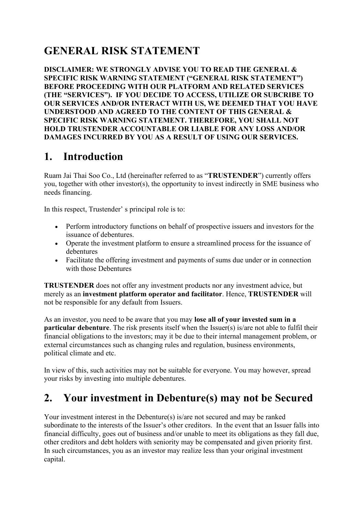## **GENERAL RISK STATEMENT**

**DISCLAIMER: WE STRONGLY ADVISE YOU TO READ THE GENERAL & SPECIFIC RISK WARNING STATEMENT ("GENERAL RISK STATEMENT") BEFORE PROCEEDING WITH OUR PLATFORM AND RELATED SERVICES (THE "SERVICES"). IF YOU DECIDE TO ACCESS, UTILIZE OR SUBCRIBE TO OUR SERVICES AND/OR INTERACT WITH US, WE DEEMED THAT YOU HAVE UNDERSTOOD AND AGREED TO THE CONTENT OF THIS GENERAL & SPECIFIC RISK WARNING STATEMENT. THEREFORE, YOU SHALL NOT HOLD TRUSTENDER ACCOUNTABLE OR LIABLE FOR ANY LOSS AND/OR DAMAGES INCURRED BY YOU AS A RESULT OF USING OUR SERVICES.**

#### **1. Introduction**

Ruam Jai Thai Soo Co., Ltd (hereinafter referred to as "**TRUSTENDER**") currently offers you, together with other investor(s), the opportunity to invest indirectly in SME business who needs financing.

In this respect, Trustender' s principal role is to:

- Perform introductory functions on behalf of prospective issuers and investors for the issuance of debentures.
- Operate the investment platform to ensure a streamlined process for the issuance of debentures
- Facilitate the offering investment and payments of sums due under or in connection with those Debentures

**TRUSTENDER** does not offer any investment products nor any investment advice, but merely as an **investment platform operator and facilitator**. Hence, **TRUSTENDER** will not be responsible for any default from Issuers.

As an investor, you need to be aware that you may **lose all of your invested sum in a particular debenture**. The risk presents itself when the Issuer(s) is/are not able to fulfil their financial obligations to the investors; may it be due to their internal management problem, or external circumstances such as changing rules and regulation, business environments, political climate and etc.

In view of this, such activities may not be suitable for everyone. You may however, spread your risks by investing into multiple debentures.

#### **2. Your investment in Debenture(s) may not be Secured**

Your investment interest in the Debenture(s) is/are not secured and may be ranked subordinate to the interests of the Issuer's other creditors. In the event that an Issuer falls into financial difficulty, goes out of business and/or unable to meet its obligations as they fall due, other creditors and debt holders with seniority may be compensated and given priority first. In such circumstances, you as an investor may realize less than your original investment capital.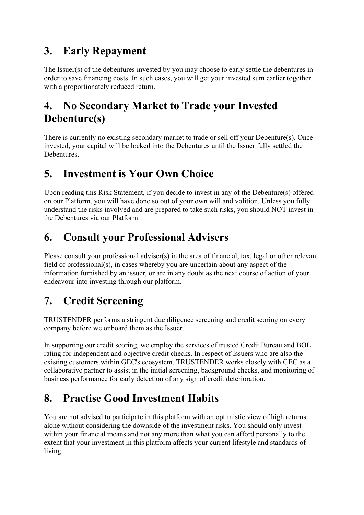## **3. Early Repayment**

The Issuer(s) of the debentures invested by you may choose to early settle the debentures in order to save financing costs. In such cases, you will get your invested sum earlier together with a proportionately reduced return.

## **4. No Secondary Market to Trade your Invested Debenture(s)**

There is currently no existing secondary market to trade or sell off your Debenture(s). Once invested, your capital will be locked into the Debentures until the Issuer fully settled the Debentures.

## **5. Investment is Your Own Choice**

Upon reading this Risk Statement, if you decide to invest in any of the Debenture(s) offered on our Platform, you will have done so out of your own will and volition. Unless you fully understand the risks involved and are prepared to take such risks, you should NOT invest in the Debentures via our Platform.

## **6. Consult your Professional Advisers**

Please consult your professional adviser(s) in the area of financial, tax, legal or other relevant field of professional(s), in cases whereby you are uncertain about any aspect of the information furnished by an issuer, or are in any doubt as the next course of action of your endeavour into investing through our platform.

# **7. Credit Screening**

TRUSTENDER performs a stringent due diligence screening and credit scoring on every company before we onboard them as the Issuer.

In supporting our credit scoring, we employ the services of trusted Credit Bureau and BOL rating for independent and objective credit checks. In respect of Issuers who are also the existing customers within GEC's ecosystem, TRUSTENDER works closely with GEC as a collaborative partner to assist in the initial screening, background checks, and monitoring of business performance for early detection of any sign of credit deterioration.

# **8. Practise Good Investment Habits**

You are not advised to participate in this platform with an optimistic view of high returns alone without considering the downside of the investment risks. You should only invest within your financial means and not any more than what you can afford personally to the extent that your investment in this platform affects your current lifestyle and standards of living.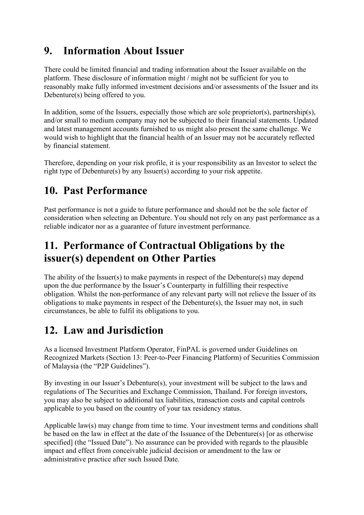## **9. Information About Issuer**

There could be limited financial and trading information about the Issuer available on the platform. These disclosure of information might / might not be sufficient for you to reasonably make fully informed investment decisions and/or assessments of the Issuer and its Debenture(s) being offered to you.

In addition, some of the Issuers, especially those which are sole proprietor(s), partnership(s), and/or small to medium company may not be subjected to their financial statements. Updated and latest management accounts furnished to us might also present the same challenge. We would wish to highlight that the financial health of an Issuer may not be accurately reflected by financial statement.

Therefore, depending on your risk profile, it is your responsibility as an Investor to select the right type of Debenture(s) by any Issuer(s) according to your risk appetite.

## **10. Past Performance**

Past performance is not a guide to future performance and should not be the sole factor of consideration when selecting an Debenture. You should not rely on any past performance as a reliable indicator nor as a guarantee of future investment performance.

## **11. Performance of Contractual Obligations by the issuer(s) dependent on Other Parties**

The ability of the Issuer(s) to make payments in respect of the Debenture(s) may depend upon the due performance by the Issuer's Counterparty in fulfilling their respective obligation. Whilst the non-performance of any relevant party will not relieve the Issuer of its obligations to make payments in respect of the Debenture(s), the Issuer may not, in such circumstances, be able to fulfil its obligations to you.

## **12. Law and Jurisdiction**

As a licensed Investment Platform Operator, FinPAL is governed under Guidelines on Recognized Markets (Section 13: Peer-to-Peer Financing Platform) of Securities Commission of Malaysia (the "P2P Guidelines").

By investing in our Issuer's Debenture(s), your investment will be subject to the laws and regulations of The Securities and Exchange Commission, Thailand. For foreign investors, you may also be subject to additional tax liabilities, transaction costs and capital controls applicable to you based on the country of your tax residency status.

Applicable law(s) may change from time to time. Your investment terms and conditions shall be based on the law in effect at the date of the Issuance of the Debenture(s) [or as otherwise specified] (the "Issued Date"). No assurance can be provided with regards to the plausible impact and effect from conceivable judicial decision or amendment to the law or administrative practice after such Issued Date.